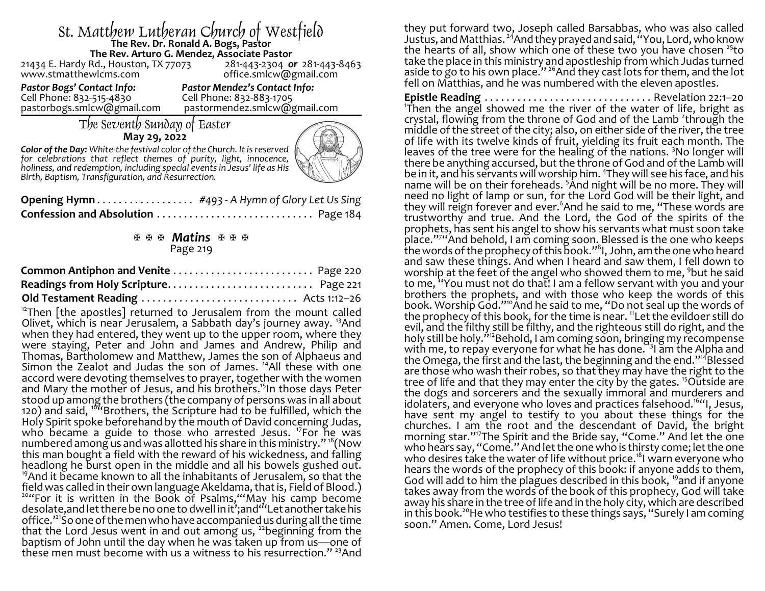# St. Matthew Lutheran Church of Westfield **The Rev. Dr. Ronald A. Bogs, Pastor The Rev. Arturo G. Mendez, Associate Pastor**

21434 E. Hardy Rd., Houston, TX 77073<br>www.stmatthewlcms.com

office.smlcw@gmail.com

Cell Phone: 832-515-4830 Cell Phone: 832-883-1705

*Pastor Bogs' Contact Info: Pastor Mendez's Contact Info:* pastormendez.smlcw@gmail.com

# The Seventh Sunday of Easter **May 29, 2022**

*Color of the Day: White-the festival color of the Church. It is reserved for celebrations that reflect themes of purity, light, innocence, holiness, and redemption, including special eventsin Jesus' life as His Birth, Baptism, Transfiguration, and Resurrection.* 



| Opening Hymn #493 - A Hymn of Glory Let Us Sing |  |
|-------------------------------------------------|--|
|                                                 |  |

### a a a *Matins* a a a Page 219

 $12$ Then [the apostles] returned to Jerusalem from the mount called Olivet, which is near Jerusalem, a Sabbath day's journey away. <sup>13</sup>And when they had entered, they went up to the upper room, where they were staying, Peter and John and James and Andrew, Philip and Thomas, Bartholomew and Matthew, James the son of Alphaeus and Simon the Zealot and Judas the son of James. <sup>14</sup>All these with one accord were devoting themselves to prayer, together with the women and Mary the mother of Jesus, and his brothers.<sup>15</sup>In those days Peter stood up among the brothers (the company of persons was in all about 120) and said, <sup>16</sup> "Brothers, the Scripture had to be fulfilled, which the Holy Spirit spoke beforehand by the mouth of David concerning Judas, who became a guide to those who arrested Jesus. <sup>17</sup>For he was numbered among us and was allotted his share in this ministry."  $\mathrm{^{18}C}$  Now this man bought a field with the reward of his wickedness, and falling headlong he burst open in the middle and all his bowels gushed out. <sup>19</sup>And it became known to all the inhabitants of Jerusalem, so that the field was called in their own language Akeldama, that is, Field of Blood.) <sup>20</sup>"For it is written in the Book of Psalms, "May his camp become desolate,and let there be no one to dwell in it';and"'Let anothertake his office.'<sup>21</sup> So one of the men who have accompanied us during all the time that the Lord Jesus went in and out among us,  $^{22}$ beginning from the baptism of John until the day when he was taken up from us—one of these men must become with us a witness to his resurrection."<sup>23</sup>And

they put forward two, Joseph called Barsabbas, who was also called Justus, and Matthias. <sup>24</sup>And they prayed and said, "You, Lord, who know the hearts of all, show which one of these two you have chosen <sup>25</sup>to take the place in this ministry and apostleship from which Judas turned aside to go to his own place."<sup>26</sup>And they cast lots for them, and the lot fell on Matthias, and he was numbered with the eleven apostles.

**Epistle Reading** . . . . . . . . . . . . . . . . . . . . . . . . . . . . . . . Revelation 22:1–20 1 Then the angel showed me the river of the water of life, bright as crystal, flowing from the throne of God and of the Lamb 'through the middle of the street of the city; also, on either side of the river, the tree of life with its twelve kinds of fruit, yielding its fruit each month. The leaves of the tree were for the healing of the nations. <sup>3</sup>No longer will there be anything accursed, but the throne of God and of the Lamb will be in it, and his servants will worship him. <sup>4</sup> They will see his face, and his name will be on their foreheads. <sup>5</sup>And night will be no more. They will need no light of lamp or sun, for the Lord God will be their light, and they will reign forever and ever. <sup>6</sup>And he said to me, "These words are trustworthy and true. And the Lord, the God of the spirits of the prophets, has sent his angel to show his servants what must soon take place."<sup>7</sup> "And behold, I am coming soon. Blessed is the one who keeps the words of the prophecyof this book."<sup>8</sup> I, John, am the one who heard and saw these things. And when I heard and saw them, I fell down to worship at the feet of the angel who showed them to me, <sup>9</sup>but he said to me, "You must not do that! I am a fellow servant with you and your brothers the prophets, and with those who keep the words of this book. Worship God."<sup>10</sup>And he said to me, "Do not seal up the words of the prophecy of this book, for the time is near. <sup>11</sup>Let the evildoer still do evil, and the filthy still be filthy, and the righteous still do right, and the holy still be holy.<sup>"12</sup>Behold, I am coming soon, bringing my recompense with me, to repay everyone for what he has done. <sup>13</sup>I am the Alpha and the Omega, the first and the last, the beginning and the end."<sup>14</sup>Blessed are those who wash their robes, so that they may have the right to the tree of life and that they may enter the city by the gates. <sup>15</sup>Outside are the dogs and sorcerers and the sexually immoral and murderers and idolaters, and everyone who loves and practices falsehood.<sup>1644</sup>, Jesus, have sent my angel to testify to you about these things for the churches. I am the root and the descendant of David, the bright morning star."<sup>17</sup> The Spirit and the Bride say, "Come." And let the one who hears say, "Come." And let the one who is thirsty come; let the one who desires take the water of life without price.<sup>18</sup>I warn everyone who hears the words of the prophecy of this book: if anyone adds to them, God will add to him the plagues described in this book, <sup>19</sup>and if anyone takes away from the words of the book of this prophecy, God will take away his share in the tree of life and in the holy city, which are described in this book.<sup>20</sup>He who testifies to these things says, "Surely I am coming soon." Amen. Come, Lord Jesus!